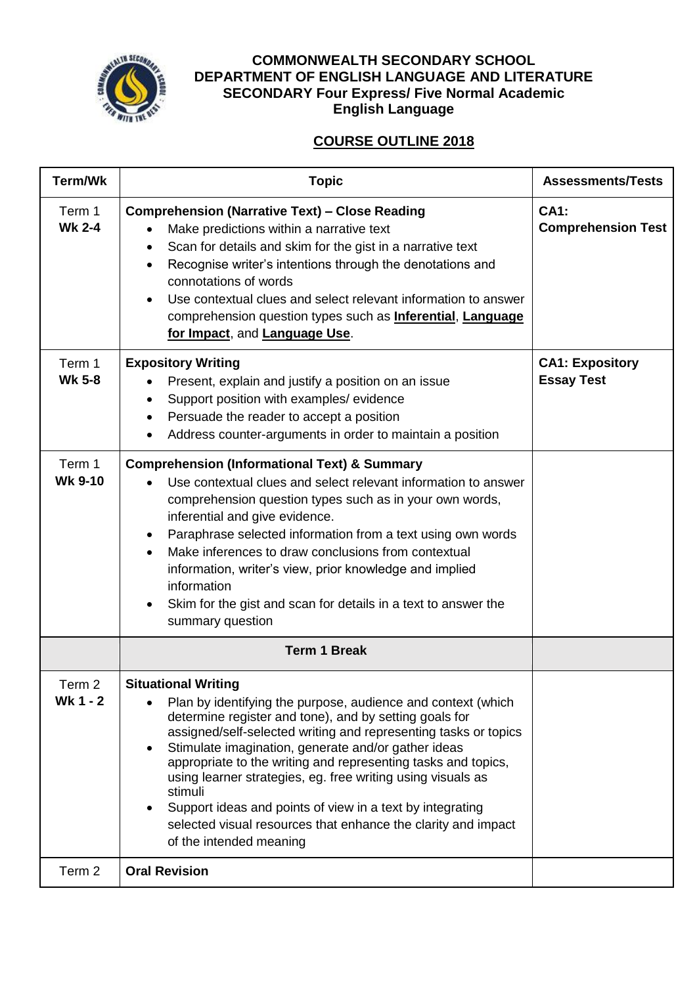

## **COMMONWEALTH SECONDARY SCHOOL DEPARTMENT OF ENGLISH LANGUAGE AND LITERATURE SECONDARY Four Express/ Five Normal Academic English Language**

# **COURSE OUTLINE 2018**

| Term/Wk                       | <b>Topic</b>                                                                                                                                                                                                                                                                                                                                                                                                                                                                                                                                                                       | <b>Assessments/Tests</b>                    |
|-------------------------------|------------------------------------------------------------------------------------------------------------------------------------------------------------------------------------------------------------------------------------------------------------------------------------------------------------------------------------------------------------------------------------------------------------------------------------------------------------------------------------------------------------------------------------------------------------------------------------|---------------------------------------------|
| Term 1<br><b>Wk 2-4</b>       | <b>Comprehension (Narrative Text) - Close Reading</b><br>Make predictions within a narrative text<br>Scan for details and skim for the gist in a narrative text<br>٠<br>Recognise writer's intentions through the denotations and<br>$\bullet$<br>connotations of words<br>Use contextual clues and select relevant information to answer<br>comprehension question types such as <b>Inferential</b> , <b>Language</b><br>for Impact, and Language Use.                                                                                                                            | <b>CA1:</b><br><b>Comprehension Test</b>    |
| Term 1<br><b>Wk 5-8</b>       | <b>Expository Writing</b><br>Present, explain and justify a position on an issue<br>Support position with examples/ evidence<br>Persuade the reader to accept a position<br>$\bullet$<br>Address counter-arguments in order to maintain a position                                                                                                                                                                                                                                                                                                                                 | <b>CA1: Expository</b><br><b>Essay Test</b> |
| Term 1<br><b>Wk 9-10</b>      | <b>Comprehension (Informational Text) &amp; Summary</b><br>Use contextual clues and select relevant information to answer<br>comprehension question types such as in your own words,<br>inferential and give evidence.<br>Paraphrase selected information from a text using own words<br>$\bullet$<br>Make inferences to draw conclusions from contextual<br>information, writer's view, prior knowledge and implied<br>information<br>Skim for the gist and scan for details in a text to answer the<br>summary question                                                          |                                             |
|                               | <b>Term 1 Break</b>                                                                                                                                                                                                                                                                                                                                                                                                                                                                                                                                                                |                                             |
| Term <sub>2</sub><br>Wk 1 - 2 | <b>Situational Writing</b><br>Plan by identifying the purpose, audience and context (which<br>determine register and tone), and by setting goals for<br>assigned/self-selected writing and representing tasks or topics<br>Stimulate imagination, generate and/or gather ideas<br>appropriate to the writing and representing tasks and topics,<br>using learner strategies, eg. free writing using visuals as<br>stimuli<br>Support ideas and points of view in a text by integrating<br>selected visual resources that enhance the clarity and impact<br>of the intended meaning |                                             |
| Term 2                        | <b>Oral Revision</b>                                                                                                                                                                                                                                                                                                                                                                                                                                                                                                                                                               |                                             |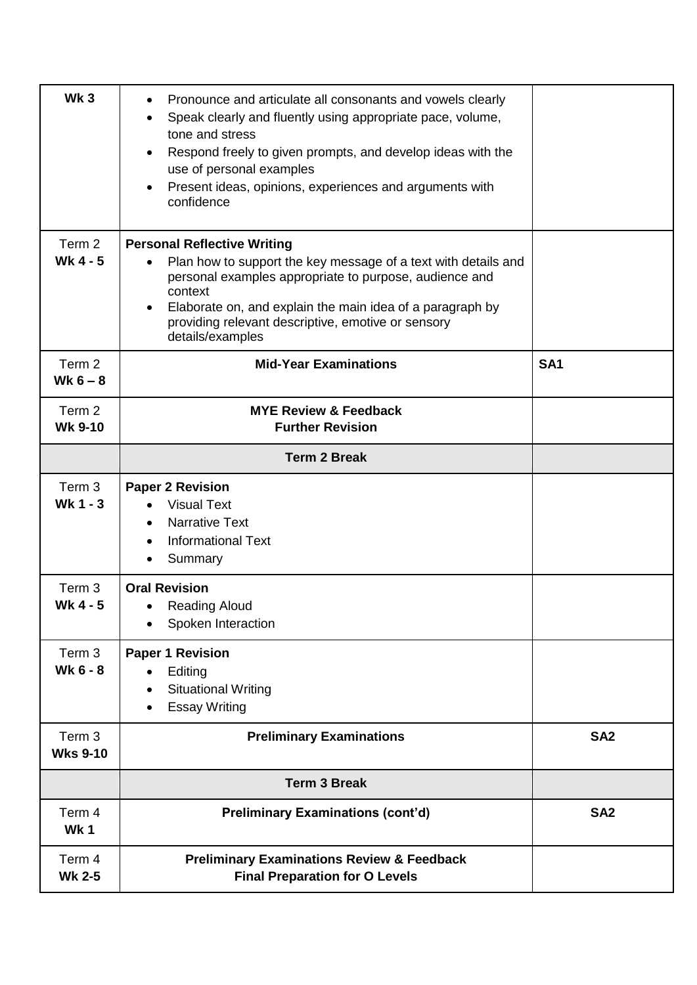| Wk <sub>3</sub>                      | Pronounce and articulate all consonants and vowels clearly<br>Speak clearly and fluently using appropriate pace, volume,<br>$\bullet$<br>tone and stress<br>Respond freely to given prompts, and develop ideas with the<br>use of personal examples<br>Present ideas, opinions, experiences and arguments with<br>$\bullet$<br>confidence |                 |
|--------------------------------------|-------------------------------------------------------------------------------------------------------------------------------------------------------------------------------------------------------------------------------------------------------------------------------------------------------------------------------------------|-----------------|
| Term 2<br>Wk $4 - 5$                 | <b>Personal Reflective Writing</b><br>Plan how to support the key message of a text with details and<br>personal examples appropriate to purpose, audience and<br>context<br>Elaborate on, and explain the main idea of a paragraph by<br>providing relevant descriptive, emotive or sensory<br>details/examples                          |                 |
| Term 2<br>Wk $6 - 8$                 | <b>Mid-Year Examinations</b>                                                                                                                                                                                                                                                                                                              | SA <sub>1</sub> |
| Term 2<br><b>Wk 9-10</b>             | <b>MYE Review &amp; Feedback</b><br><b>Further Revision</b>                                                                                                                                                                                                                                                                               |                 |
|                                      | <b>Term 2 Break</b>                                                                                                                                                                                                                                                                                                                       |                 |
| Term <sub>3</sub><br>Wk 1 - 3        | <b>Paper 2 Revision</b><br><b>Visual Text</b><br><b>Narrative Text</b><br>$\bullet$<br><b>Informational Text</b><br>Summary                                                                                                                                                                                                               |                 |
| Term 3<br>Wk 4 - 5                   | <b>Oral Revision</b><br><b>Reading Aloud</b><br>Spoken Interaction                                                                                                                                                                                                                                                                        |                 |
| Term <sub>3</sub><br><b>Wk 6 - 8</b> | <b>Paper 1 Revision</b><br>Editing<br><b>Situational Writing</b><br><b>Essay Writing</b><br>$\bullet$                                                                                                                                                                                                                                     |                 |
| Term 3<br><b>Wks 9-10</b>            | <b>Preliminary Examinations</b>                                                                                                                                                                                                                                                                                                           | SA <sub>2</sub> |
|                                      | <b>Term 3 Break</b>                                                                                                                                                                                                                                                                                                                       |                 |
| Term 4<br>Wk1                        | <b>Preliminary Examinations (cont'd)</b>                                                                                                                                                                                                                                                                                                  | SA <sub>2</sub> |
| Term 4<br><b>Wk 2-5</b>              | <b>Preliminary Examinations Review &amp; Feedback</b><br><b>Final Preparation for O Levels</b>                                                                                                                                                                                                                                            |                 |